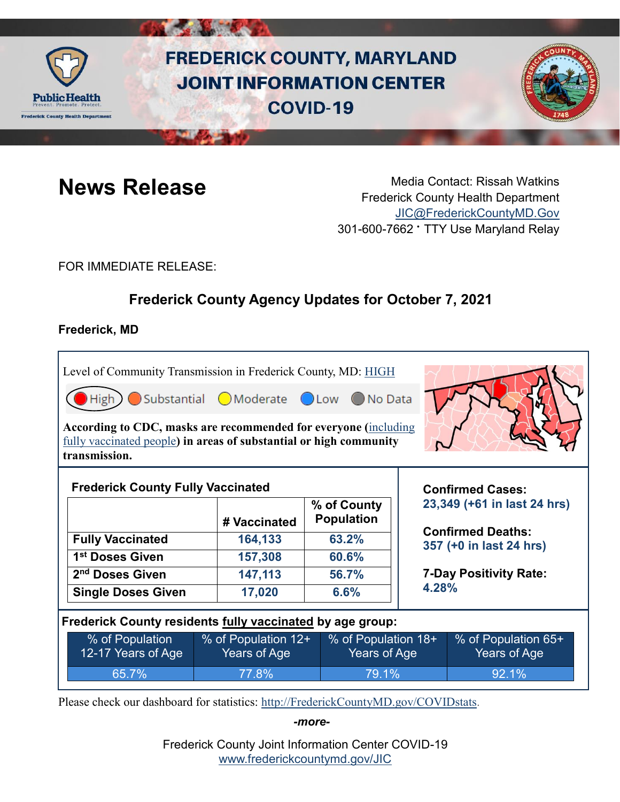

# **FREDERICK COUNTY, MARYLAND JOINT INFORMATION CENTER COVID-19**



**News Release** Media Contact: Rissah Watkins Frederick County Health Department [JIC@FrederickCountyMD.Gov](mailto:JIC@FrederickCountyMD.Gov) 301-600-7662 • TTY Use Maryland Relay

FOR IMMEDIATE RELEASE:

# **Frederick County Agency Updates for October 7, 2021**

### **Frederick, MD**

Level of Community Transmission in Frederick County, MD: [HIGH](https://covid.cdc.gov/covid-data-tracker/#county-view)

| CHigh Substantial OModerate OLow ONo Data |
|-------------------------------------------|
|-------------------------------------------|

**According to CDC, masks are recommended for everyone (**[including](https://www.cdc.gov/coronavirus/2019-ncov/vaccines/fully-vaccinated-guidance.html)  [fully vaccinated people](https://www.cdc.gov/coronavirus/2019-ncov/vaccines/fully-vaccinated-guidance.html)**) in areas of substantial or high community transmission.** 



|                             | # Vaccinated | % of County<br><b>Population</b> |
|-----------------------------|--------------|----------------------------------|
| <b>Fully Vaccinated</b>     | 164,133      | 63.2%                            |
| 1 <sup>st</sup> Doses Given | 157,308      | 60.6%                            |
| 2 <sup>nd</sup> Doses Given | 147,113      | 56.7%                            |
| <b>Single Doses Given</b>   | 17,020       | 6.6%                             |

**Confirmed Cases: 23,349 (+61 in last 24 hrs)**

**Confirmed Deaths: 357 (+0 in last 24 hrs)**

**7-Day Positivity Rate: 4.28%**

#### **Frederick County residents fully vaccinated by age group:**

| % of Population    | % of Population 12+ | % of Population 18+ | % of Population 65+ |
|--------------------|---------------------|---------------------|---------------------|
| 12-17 Years of Age | Years of Age        | Years of Age        | Years of Age        |
| $65.7\%$           | 77.8%               | 79.1%               | $192.1\%$           |

Please check our dashboard for statistics: [http://FrederickCountyMD.gov/COVIDstats.](http://frederickcountymd.gov/COVIDstats)

*-more-*

Frederick County Joint Information Center COVID-19 [www.frederickcountymd.gov/JIC](https://frederickcountymd.gov/JIC)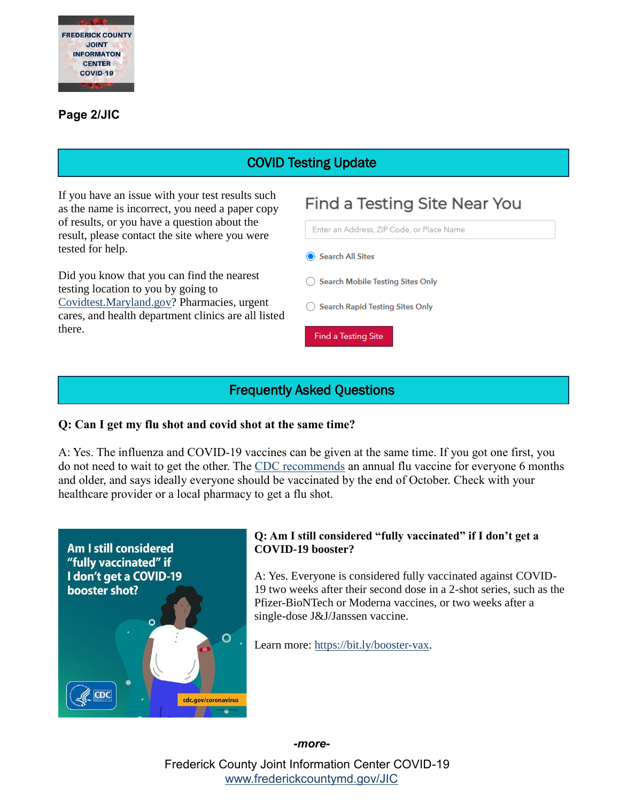

#### **Page 2/JIC**

# COVID Testing Update

If you have an issue with your test results such as the name is incorrect, you need a paper copy of results, or you have a question about the result, please contact the site where you were tested for help.

Did you know that you can find the nearest testing location to you by going to [Covidtest.Maryland.gov?](https://coronavirus.maryland.gov/pages/symptoms-testing) Pharmacies, urgent cares, and health department clinics are all listed there.



### Frequently Asked Questions

#### **Q: Can I get my flu shot and covid shot at the same time?**

A: Yes. The influenza and COVID-19 vaccines can be given at the same time. If you got one first, you do not need to wait to get the other. The [CDC recommends](https://www.cdc.gov/flu/prevent/vaccinations.htm) an annual flu vaccine for everyone 6 months and older, and says ideally everyone should be vaccinated by the end of October. Check with your healthcare provider or a local pharmacy to get a flu shot.



#### **Q: Am I still considered "fully vaccinated" if I don't get a COVID-19 booster?**

A: Yes. Everyone is considered fully vaccinated against COVID-19 two weeks after their second dose in a 2-shot series, such as the Pfizer-BioNTech or Moderna vaccines, or two weeks after a single-dose J&J/Janssen vaccine.

Learn more: [https://bit.ly/booster-vax.](https://bit.ly/booster-vax)

*-more-*

Frederick County Joint Information Center COVID-19 [www.frederickcountymd.gov/JIC](https://frederickcountymd.gov/JIC)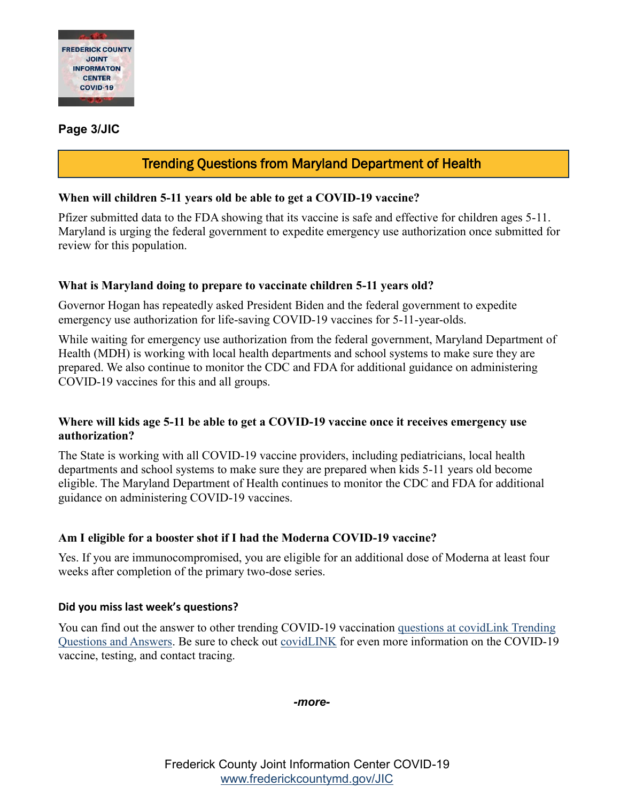

#### **Page 3/JIC**

# Trending Questions from Maryland Department of Health

#### **When will children 5-11 years old be able to get a COVID-19 vaccine?**

Pfizer submitted data to the FDA showing that its vaccine is safe and effective for children ages 5-11. Maryland is urging the federal government to expedite emergency use authorization once submitted for review for this population.

#### **What is Maryland doing to prepare to vaccinate children 5-11 years old?**

Governor Hogan has repeatedly asked President Biden and the federal government to expedite emergency use authorization for life-saving COVID-19 vaccines for 5-11-year-olds.

While waiting for emergency use authorization from the federal government, Maryland Department of Health (MDH) is working with local health departments and school systems to make sure they are prepared. We also continue to monitor the CDC and FDA for additional guidance on administering COVID-19 vaccines for this and all groups.

#### **Where will kids age 5-11 be able to get a COVID-19 vaccine once it receives emergency use authorization?**

The State is working with all COVID-19 vaccine providers, including pediatricians, local health departments and school systems to make sure they are prepared when kids 5-11 years old become eligible. The Maryland Department of Health continues to monitor the CDC and FDA for additional guidance on administering COVID-19 vaccines.

#### **Am I eligible for a booster shot if I had the Moderna COVID-19 vaccine?**

Yes. If you are immunocompromised, you are eligible for an additional dose of Moderna at least four weeks after completion of the primary two-dose series.

#### **Did you miss last week's questions?**

You can find out the answer to other trending COVID-19 vaccination [questions at covidLink Trending](https://covidlink.maryland.gov/content/faqs/#trending)  [Questions and Answers.](https://covidlink.maryland.gov/content/faqs/#trending) Be sure to check out [covidLINK](https://covidlink.maryland.gov/content/) for even more information on the COVID-19 vaccine, testing, and contact tracing.

*-more-*